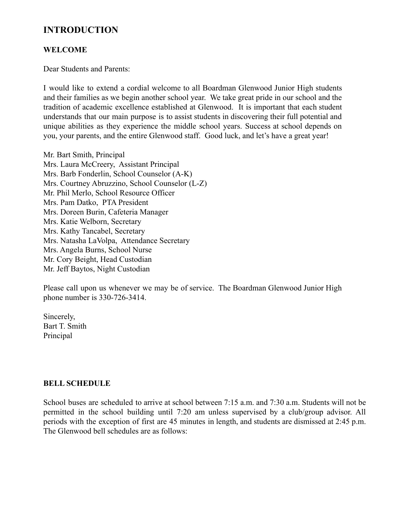# **INTRODUCTION**

### **WELCOME**

Dear Students and Parents:

I would like to extend a cordial welcome to all Boardman Glenwood Junior High students and their families as we begin another school year. We take great pride in our school and the tradition of academic excellence established at Glenwood. It is important that each student understands that our main purpose is to assist students in discovering their full potential and unique abilities as they experience the middle school years. Success at school depends on you, your parents, and the entire Glenwood staff. Good luck, and let's have a great year!

Mr. Bart Smith, Principal Mrs. Laura McCreery, Assistant Principal Mrs. Barb Fonderlin, School Counselor (A-K) Mrs. Courtney Abruzzino, School Counselor (L-Z) Mr. Phil Merlo, School Resource Officer Mrs. Pam Datko, PTA President Mrs. Doreen Burin, Cafeteria Manager Mrs. Katie Welborn, Secretary Mrs. Kathy Tancabel, Secretary Mrs. Natasha LaVolpa, Attendance Secretary Mrs. Angela Burns, School Nurse Mr. Cory Beight, Head Custodian Mr. Jeff Baytos, Night Custodian

Please call upon us whenever we may be of service. The Boardman Glenwood Junior High phone number is 330-726-3414.

Sincerely, Bart T. Smith Principal

### **BELL SCHEDULE**

School buses are scheduled to arrive at school between 7:15 a.m. and 7:30 a.m. Students will not be permitted in the school building until 7:20 am unless supervised by a club/group advisor. All periods with the exception of first are 45 minutes in length, and students are dismissed at 2:45 p.m. The Glenwood bell schedules are as follows: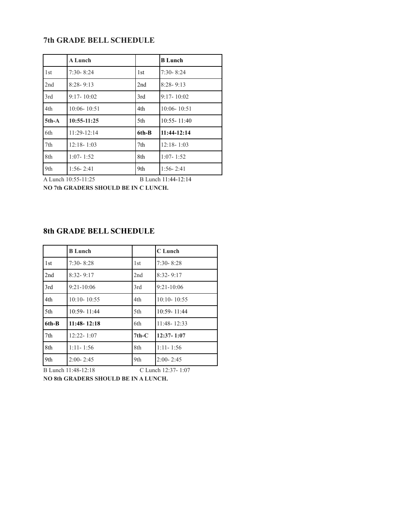### **7th GRADE BELL SCHEDULE**

|                                            | <b>A Lunch</b> |       | <b>B</b> Lunch  |  |  |
|--------------------------------------------|----------------|-------|-----------------|--|--|
| 1 <sub>st</sub>                            | $7:30 - 8:24$  | 1st   | $7:30 - 8:24$   |  |  |
| 2nd                                        | $8:28 - 9:13$  | 2nd   | $8:28 - 9:13$   |  |  |
| 3rd                                        | $9:17 - 10:02$ | 3rd   | $9:17 - 10:02$  |  |  |
| 4th                                        | 10:06-10:51    | 4th   | 10:06-10:51     |  |  |
| $5th-A$                                    | 10:55-11:25    | 5th   | $10:55 - 11:40$ |  |  |
| 6th                                        | 11:29-12:14    | 6th-B | 11:44-12:14     |  |  |
| 7th                                        | $12:18 - 1:03$ | 7th   | $12:18 - 1:03$  |  |  |
| 8th                                        | $1:07 - 1:52$  | 8th   | $1:07 - 1:52$   |  |  |
| 9th                                        | $1:56 - 2:41$  | 9th   | $1:56 - 2:41$   |  |  |
| A Lunch 10:55-11:25<br>B Lunch 11:44-12:14 |                |       |                 |  |  |

**NO 7th GRADERS SHOULD BE IN C LUNCH.**

# **8th GRADE BELL SCHEDULE**

|       | <b>B</b> Lunch  |                 | C Lunch         |  |
|-------|-----------------|-----------------|-----------------|--|
| 1st   | $7:30 - 8:28$   | 1 <sub>st</sub> | $7:30 - 8:28$   |  |
| 2nd   | $8:32 - 9:17$   | 2nd             | $8:32 - 9:17$   |  |
| 3rd   | $9:21-10:06$    | 3rd             | $9:21-10:06$    |  |
| 4th   | $10:10 - 10:55$ | 4th             | $10:10 - 10:55$ |  |
| 5th   | 10:59-11:44     | 5th             | $10:59 - 11:44$ |  |
| 6th-B | $11:48 - 12:18$ | 6th             | 11:48-12:33     |  |
| 7th   | $12:22 - 1:07$  | $7th-C$         | 12:37-1:07      |  |
| 8th   | $1:11 - 1:56$   | 8th             | $1:11 - 1:56$   |  |
| 9th   | $2:00 - 2:45$   | 9th             | $2:00 - 2:45$   |  |

B Lunch 11:48-12:18 C Lunch 12:37- 1:07 **NO 8th GRADERS SHOULD BE IN A LUNCH.**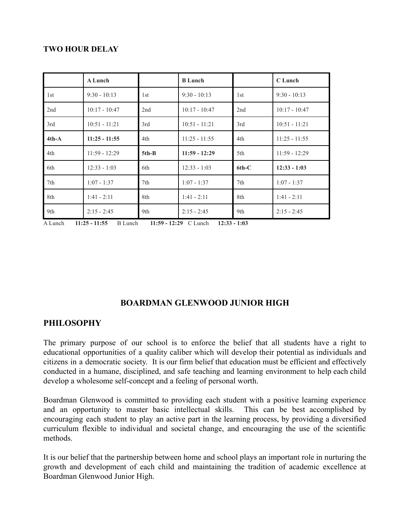### **TWO HOUR DELAY**

|         | A Lunch         |         | <b>B</b> Lunch  |       | C Lunch         |
|---------|-----------------|---------|-----------------|-------|-----------------|
| 1st     | $9:30 - 10:13$  | 1st     | $9:30 - 10:13$  | 1st   | $9:30 - 10:13$  |
| 2nd     | $10:17 - 10:47$ | 2nd     | $10:17 - 10:47$ | 2nd   | $10:17 - 10:47$ |
| 3rd     | $10:51 - 11:21$ | 3rd     | $10:51 - 11:21$ | 3rd   | $10:51 - 11:21$ |
| $4th-A$ | $11:25 - 11:55$ | 4th     | $11:25 - 11:55$ | 4th   | $11:25 - 11:55$ |
| 4th     | $11:59 - 12:29$ | $5th-B$ | $11:59 - 12:29$ | 5th   | $11:59 - 12:29$ |
| 6th     | $12:33 - 1:03$  | 6th     | $12:33 - 1:03$  | 6th-C | $12:33 - 1:03$  |
| 7th     | $1:07 - 1:37$   | 7th     | $1:07 - 1:37$   | 7th   | $1:07 - 1:37$   |
| 8th     | $1:41 - 2:11$   | 8th     | $1:41 - 2:11$   | 8th   | $1:41 - 2:11$   |
| 9th     | $2:15 - 2:45$   | 9th     | $2:15 - 2:45$   | 9th   | $2:15 - 2:45$   |

A Lunch **11:25 - 11:55** B Lunch **11:59 - 12:29** C Lunch **12:33 - 1:03**

# **BOARDMAN GLENWOOD JUNIOR HIGH**

# **PHILOSOPHY**

The primary purpose of our school is to enforce the belief that all students have a right to educational opportunities of a quality caliber which will develop their potential as individuals and citizens in a democratic society. It is our firm belief that education must be efficient and effectively conducted in a humane, disciplined, and safe teaching and learning environment to help each child develop a wholesome self-concept and a feeling of personal worth.

Boardman Glenwood is committed to providing each student with a positive learning experience and an opportunity to master basic intellectual skills. This can be best accomplished by encouraging each student to play an active part in the learning process, by providing a diversified curriculum flexible to individual and societal change, and encouraging the use of the scientific methods.

It is our belief that the partnership between home and school plays an important role in nurturing the growth and development of each child and maintaining the tradition of academic excellence at Boardman Glenwood Junior High.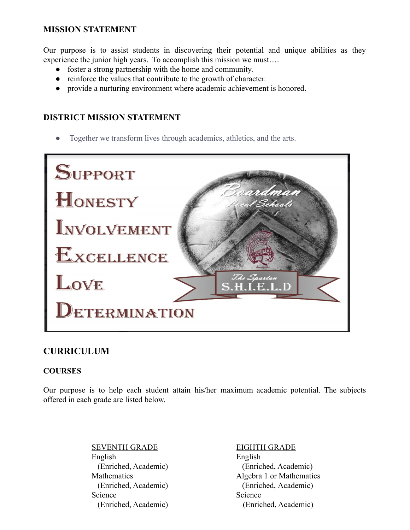# **MISSION STATEMENT**

Our purpose is to assist students in discovering their potential and unique abilities as they experience the junior high years. To accomplish this mission we must….

- foster a strong partnership with the home and community.
- reinforce the values that contribute to the growth of character.
- provide a nurturing environment where academic achievement is honored.

# **DISTRICT MISSION STATEMENT**

Together we transform lives through academics, athletics, and the arts.

SUPPORT HONESTY INVOLVEMENT EXCELLENCE LOVE The Soartan .I.E.I..D ERMINATION

# **CURRICULUM**

# **COURSES**

Our purpose is to help each student attain his/her maximum academic potential. The subjects offered in each grade are listed below.

> SEVENTH GRADE EIGHTH GRADE English English Science Science Science

(Enriched, Academic) (Enriched, Academic) Mathematics Algebra 1 or Mathematics (Enriched, Academic) (Enriched, Academic) (Enriched, Academic) (Enriched, Academic)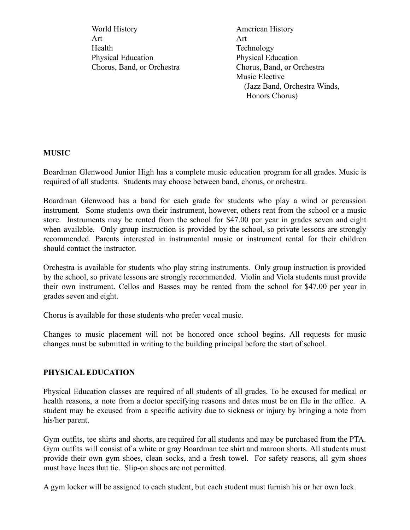World History **American History** Art Art Health Technology Physical Education Physical Education

Chorus, Band, or Orchestra Chorus, Band, or Orchestra Music Elective (Jazz Band, Orchestra Winds, Honors Chorus)

### **MUSIC**

Boardman Glenwood Junior High has a complete music education program for all grades. Music is required of all students. Students may choose between band, chorus, or orchestra.

Boardman Glenwood has a band for each grade for students who play a wind or percussion instrument. Some students own their instrument, however, others rent from the school or a music store. Instruments may be rented from the school for \$47.00 per year in grades seven and eight when available. Only group instruction is provided by the school, so private lessons are strongly recommended. Parents interested in instrumental music or instrument rental for their children should contact the instructor.

Orchestra is available for students who play string instruments. Only group instruction is provided by the school, so private lessons are strongly recommended. Violin and Viola students must provide their own instrument. Cellos and Basses may be rented from the school for \$47.00 per year in grades seven and eight.

Chorus is available for those students who prefer vocal music.

Changes to music placement will not be honored once school begins. All requests for music changes must be submitted in writing to the building principal before the start of school.

### **PHYSICAL EDUCATION**

Physical Education classes are required of all students of all grades. To be excused for medical or health reasons, a note from a doctor specifying reasons and dates must be on file in the office. A student may be excused from a specific activity due to sickness or injury by bringing a note from his/her parent.

Gym outfits, tee shirts and shorts, are required for all students and may be purchased from the PTA. Gym outfits will consist of a white or gray Boardman tee shirt and maroon shorts. All students must provide their own gym shoes, clean socks, and a fresh towel. For safety reasons, all gym shoes must have laces that tie. Slip-on shoes are not permitted.

A gym locker will be assigned to each student, but each student must furnish his or her own lock.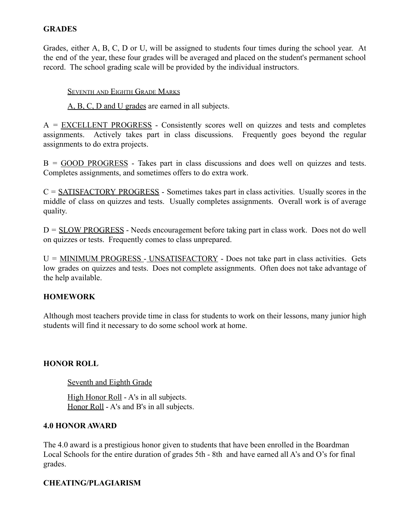### **GRADES**

Grades, either A, B, C, D or U, will be assigned to students four times during the school year. At the end of the year, these four grades will be averaged and placed on the student's permanent school record. The school grading scale will be provided by the individual instructors.

### SEVENTH AND EIGHTH GRADE MARKS

A, B, C, D and U grades are earned in all subjects.

A = EXCELLENT PROGRESS - Consistently scores well on quizzes and tests and completes assignments. Actively takes part in class discussions. Frequently goes beyond the regular assignments to do extra projects.

B = GOOD PROGRESS - Takes part in class discussions and does well on quizzes and tests. Completes assignments, and sometimes offers to do extra work.

 $C = SATISFACTORY PROGRESS - Sometimes takes part in class activities. Usually scores in the$ middle of class on quizzes and tests. Usually completes assignments. Overall work is of average quality.

D = SLOW PROGRESS - Needs encouragement before taking part in class work. Does not do well on quizzes or tests. Frequently comes to class unprepared.

U = MINIMUM PROGRESS - UNSATISFACTORY - Does not take part in class activities. Gets low grades on quizzes and tests. Does not complete assignments. Often does not take advantage of the help available.

### **HOMEWORK**

Although most teachers provide time in class for students to work on their lessons, many junior high students will find it necessary to do some school work at home.

### **HONOR ROLL**

Seventh and Eighth Grade

High Honor Roll - A's in all subjects. Honor Roll - A's and B's in all subjects.

### **4.0 HONOR AWARD**

The 4.0 award is a prestigious honor given to students that have been enrolled in the Boardman Local Schools for the entire duration of grades 5th - 8th and have earned all A's and O's for final grades.

### **CHEATING/PLAGIARISM**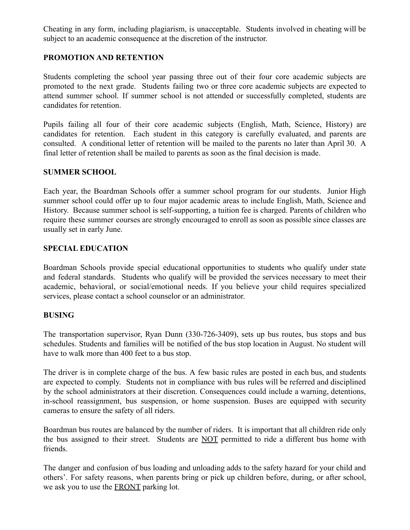Cheating in any form, including plagiarism, is unacceptable. Students involved in cheating will be subject to an academic consequence at the discretion of the instructor.

### **PROMOTION AND RETENTION**

Students completing the school year passing three out of their four core academic subjects are promoted to the next grade. Students failing two or three core academic subjects are expected to attend summer school. If summer school is not attended or successfully completed, students are candidates for retention.

Pupils failing all four of their core academic subjects (English, Math, Science, History) are candidates for retention. Each student in this category is carefully evaluated, and parents are consulted. A conditional letter of retention will be mailed to the parents no later than April 30. A final letter of retention shall be mailed to parents as soon as the final decision is made.

### **SUMMER SCHOOL**

Each year, the Boardman Schools offer a summer school program for our students. Junior High summer school could offer up to four major academic areas to include English, Math, Science and History. Because summer school is self-supporting, a tuition fee is charged. Parents of children who require these summer courses are strongly encouraged to enroll as soon as possible since classes are usually set in early June.

### **SPECIAL EDUCATION**

Boardman Schools provide special educational opportunities to students who qualify under state and federal standards. Students who qualify will be provided the services necessary to meet their academic, behavioral, or social/emotional needs. If you believe your child requires specialized services, please contact a school counselor or an administrator.

### **BUSING**

The transportation supervisor, Ryan Dunn (330-726-3409), sets up bus routes, bus stops and bus schedules. Students and families will be notified of the bus stop location in August. No student will have to walk more than 400 feet to a bus stop.

The driver is in complete charge of the bus. A few basic rules are posted in each bus, and students are expected to comply. Students not in compliance with bus rules will be referred and disciplined by the school administrators at their discretion. Consequences could include a warning, detentions, in-school reassignment, bus suspension, or home suspension. Buses are equipped with security cameras to ensure the safety of all riders.

Boardman bus routes are balanced by the number of riders. It is important that all children ride only the bus assigned to their street. Students are NOT permitted to ride a different bus home with friends.

The danger and confusion of bus loading and unloading adds to the safety hazard for your child and others'. For safety reasons, when parents bring or pick up children before, during, or after school, we ask you to use the FRONT parking lot.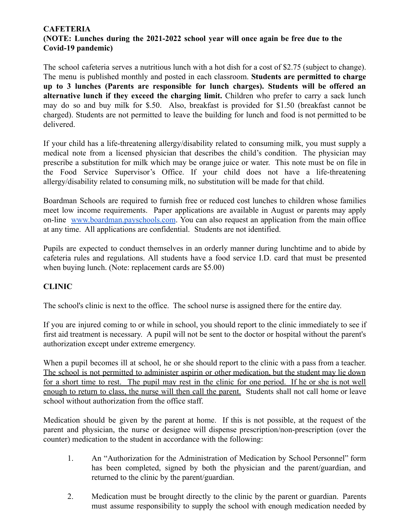### **CAFETERIA (NOTE: Lunches during the 2021-2022 school year will once again be free due to the Covid-19 pandemic)**

The school cafeteria serves a nutritious lunch with a hot dish for a cost of \$2.75 (subject to change). The menu is published monthly and posted in each classroom. **Students are permitted to charge up to 3 lunches (Parents are responsible for lunch charges). Students will be offered an alternative lunch if they exceed the charging limit.** Children who prefer to carry a sack lunch may do so and buy milk for \$.50. Also, breakfast is provided for \$1.50 (breakfast cannot be charged). Students are not permitted to leave the building for lunch and food is not permitted to be delivered.

If your child has a life-threatening allergy/disability related to consuming milk, you must supply a medical note from a licensed physician that describes the child's condition. The physician may prescribe a substitution for milk which may be orange juice or water. This note must be on file in the Food Service Supervisor's Office. If your child does not have a life-threatening allergy/disability related to consuming milk, no substitution will be made for that child.

Boardman Schools are required to furnish free or reduced cost lunches to children whose families meet low income requirements. Paper applications are available in August or parents may apply on-line [www.boardman.payschools.com](http://www.boardman.payschools.com). You can also request an application from the main office at any time. All applications are confidential. Students are not identified.

Pupils are expected to conduct themselves in an orderly manner during lunchtime and to abide by cafeteria rules and regulations. All students have a food service I.D. card that must be presented when buying lunch. (Note: replacement cards are \$5.00)

# **CLINIC**

The school's clinic is next to the office. The school nurse is assigned there for the entire day.

If you are injured coming to or while in school, you should report to the clinic immediately to see if first aid treatment is necessary. A pupil will not be sent to the doctor or hospital without the parent's authorization except under extreme emergency.

When a pupil becomes ill at school, he or she should report to the clinic with a pass from a teacher. The school is not permitted to administer aspirin or other medication, but the student may lie down for a short time to rest. The pupil may rest in the clinic for one period. If he or she is not well enough to return to class, the nurse will then call the parent. Students shall not call home or leave school without authorization from the office staff.

Medication should be given by the parent at home. If this is not possible, at the request of the parent and physician, the nurse or designee will dispense prescription/non-prescription (over the counter) medication to the student in accordance with the following:

- 1. An "Authorization for the Administration of Medication by School Personnel" form has been completed, signed by both the physician and the parent/guardian, and returned to the clinic by the parent/guardian.
- 2. Medication must be brought directly to the clinic by the parent or guardian. Parents must assume responsibility to supply the school with enough medication needed by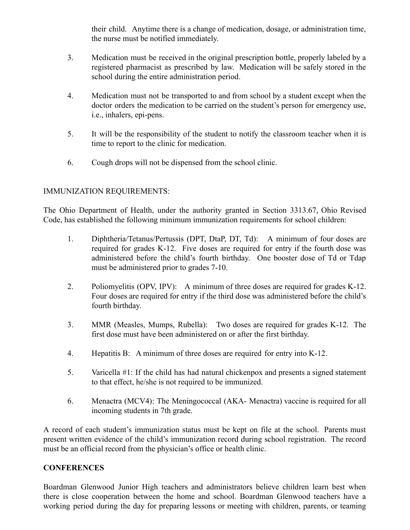their child. Anytime there is a change of medication, dosage, or administration time, the nurse must be notified immediately.

- 3. Medication must be received in the original prescription bottle, properly labeled by a registered pharmacist as prescribed by law. Medication will be safely stored in the school during the entire administration period.
- 4. Medication must not be transported to and from school by a student except when the doctor orders the medication to be carried on the student's person for emergency use, i.e., inhalers, epi-pens.
- 5. It will be the responsibility of the student to notify the classroom teacher when it is time to report to the clinic for medication.
- 6. Cough drops will not be dispensed from the school clinic.

### IMMUNIZATION REQUIREMENTS:

The Ohio Department of Health, under the authority granted in Section 3313.67, Ohio Revised Code, has established the following minimum immunization requirements for school children:

- 1. Diphtheria/Tetanus/Pertussis (DPT, DtaP, DT, Td): A minimum of four doses are required for grades K-12. Five doses are required for entry if the fourth dose was administered before the child's fourth birthday. One booster dose of Td or Tdap must be administered prior to grades 7-10.
- 2. Poliomyelitis (OPV, IPV): A minimum of three doses are required for grades K-12. Four doses are required for entry if the third dose was administered before the child's fourth birthday.
- 3. MMR (Measles, Mumps, Rubella): Two doses are required for grades K-12. The first dose must have been administered on or after the first birthday.
- 4. Hepatitis B: A minimum of three doses are required for entry into K-12.
- 5. Varicella #1: If the child has had natural chickenpox and presents a signed statement to that effect, he/she is not required to be immunized.
- 6. Menactra (MCV4): The Meningococcal (AKA- Menactra) vaccine is required for all incoming students in 7th grade.

A record of each student's immunization status must be kept on file at the school. Parents must present written evidence of the child's immunization record during school registration. The record must be an official record from the physician's office or health clinic.

### **CONFERENCES**

Boardman Glenwood Junior High teachers and administrators believe children learn best when there is close cooperation between the home and school. Boardman Glenwood teachers have a working period during the day for preparing lessons or meeting with children, parents, or teaming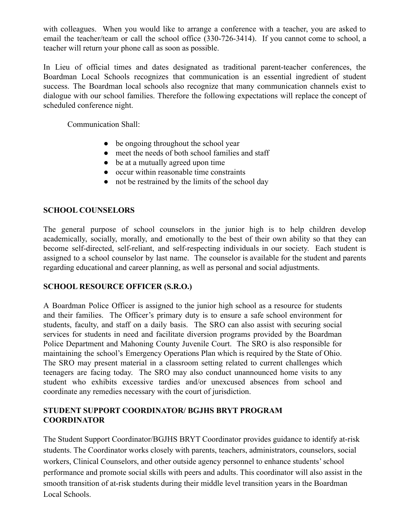with colleagues. When you would like to arrange a conference with a teacher, you are asked to email the teacher/team or call the school office (330-726-3414). If you cannot come to school, a teacher will return your phone call as soon as possible.

In Lieu of official times and dates designated as traditional parent-teacher conferences, the Boardman Local Schools recognizes that communication is an essential ingredient of student success. The Boardman local schools also recognize that many communication channels exist to dialogue with our school families. Therefore the following expectations will replace the concept of scheduled conference night.

Communication Shall:

- be ongoing throughout the school year
- meet the needs of both school families and staff
- be at a mutually agreed upon time
- occur within reasonable time constraints
- not be restrained by the limits of the school day

# **SCHOOL COUNSELORS**

The general purpose of school counselors in the junior high is to help children develop academically, socially, morally, and emotionally to the best of their own ability so that they can become self-directed, self-reliant, and self-respecting individuals in our society. Each student is assigned to a school counselor by last name. The counselor is available for the student and parents regarding educational and career planning, as well as personal and social adjustments.

# **SCHOOL RESOURCE OFFICER (S.R.O.)**

A Boardman Police Officer is assigned to the junior high school as a resource for students and their families. The Officer's primary duty is to ensure a safe school environment for students, faculty, and staff on a daily basis. The SRO can also assist with securing social services for students in need and facilitate diversion programs provided by the Boardman Police Department and Mahoning County Juvenile Court. The SRO is also responsible for maintaining the school's Emergency Operations Plan which is required by the State of Ohio. The SRO may present material in a classroom setting related to current challenges which teenagers are facing today. The SRO may also conduct unannounced home visits to any student who exhibits excessive tardies and/or unexcused absences from school and coordinate any remedies necessary with the court of jurisdiction.

# **STUDENT SUPPORT COORDINATOR/ BGJHS BRYT PROGRAM COORDINATOR**

The Student Support Coordinator/BGJHS BRYT Coordinator provides guidance to identify at-risk students. The Coordinator works closely with parents, teachers, administrators, counselors, social workers, Clinical Counselors, and other outside agency personnel to enhance students' school performance and promote social skills with peers and adults. This coordinator will also assist in the smooth transition of at-risk students during their middle level transition years in the Boardman Local Schools.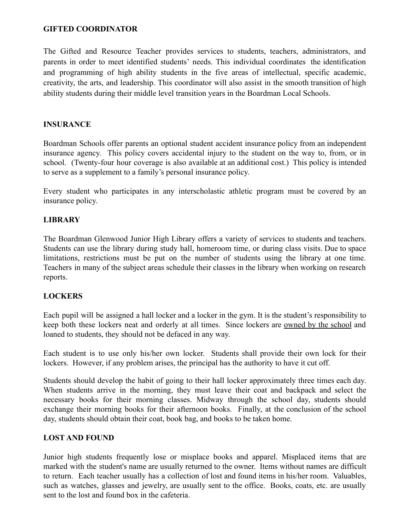### **GIFTED COORDINATOR**

The Gifted and Resource Teacher provides services to students, teachers, administrators, and parents in order to meet identified students' needs. This individual coordinates the identification and programming of high ability students in the five areas of intellectual, specific academic, creativity, the arts, and leadership. This coordinator will also assist in the smooth transition of high ability students during their middle level transition years in the Boardman Local Schools.

### **INSURANCE**

Boardman Schools offer parents an optional student accident insurance policy from an independent insurance agency. This policy covers accidental injury to the student on the way to, from, or in school. (Twenty-four hour coverage is also available at an additional cost.) This policy is intended to serve as a supplement to a family's personal insurance policy.

Every student who participates in any interscholastic athletic program must be covered by an insurance policy.

### **LIBRARY**

The Boardman Glenwood Junior High Library offers a variety of services to students and teachers. Students can use the library during study hall, homeroom time, or during class visits. Due to space limitations, restrictions must be put on the number of students using the library at one time. Teachers in many of the subject areas schedule their classes in the library when working on research reports.

### **LOCKERS**

Each pupil will be assigned a hall locker and a locker in the gym. It is the student's responsibility to keep both these lockers neat and orderly at all times. Since lockers are owned by the school and loaned to students, they should not be defaced in any way.

Each student is to use only his/her own locker. Students shall provide their own lock for their lockers. However, if any problem arises, the principal has the authority to have it cut off.

Students should develop the habit of going to their hall locker approximately three times each day. When students arrive in the morning, they must leave their coat and backpack and select the necessary books for their morning classes. Midway through the school day, students should exchange their morning books for their afternoon books. Finally, at the conclusion of the school day, students should obtain their coat, book bag, and books to be taken home.

### **LOST AND FOUND**

Junior high students frequently lose or misplace books and apparel. Misplaced items that are marked with the student's name are usually returned to the owner. Items without names are difficult to return. Each teacher usually has a collection of lost and found items in his/her room. Valuables, such as watches, glasses and jewelry, are usually sent to the office. Books, coats, etc. are usually sent to the lost and found box in the cafeteria.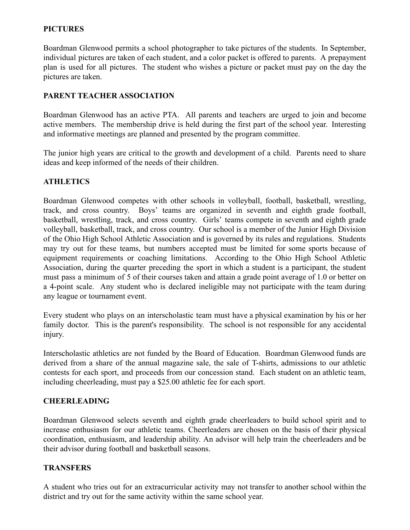# **PICTURES**

Boardman Glenwood permits a school photographer to take pictures of the students. In September, individual pictures are taken of each student, and a color packet is offered to parents. A prepayment plan is used for all pictures. The student who wishes a picture or packet must pay on the day the pictures are taken.

# **PARENT TEACHER ASSOCIATION**

Boardman Glenwood has an active PTA. All parents and teachers are urged to join and become active members. The membership drive is held during the first part of the school year. Interesting and informative meetings are planned and presented by the program committee.

The junior high years are critical to the growth and development of a child. Parents need to share ideas and keep informed of the needs of their children.

# **ATHLETICS**

Boardman Glenwood competes with other schools in volleyball, football, basketball, wrestling, track, and cross country. Boys' teams are organized in seventh and eighth grade football, basketball, wrestling, track, and cross country. Girls' teams compete in seventh and eighth grade volleyball, basketball, track, and cross country. Our school is a member of the Junior High Division of the Ohio High School Athletic Association and is governed by its rules and regulations. Students may try out for these teams, but numbers accepted must be limited for some sports because of equipment requirements or coaching limitations. According to the Ohio High School Athletic Association, during the quarter preceding the sport in which a student is a participant, the student must pass a minimum of 5 of their courses taken and attain a grade point average of 1.0 or better on a 4-point scale. Any student who is declared ineligible may not participate with the team during any league or tournament event.

Every student who plays on an interscholastic team must have a physical examination by his or her family doctor. This is the parent's responsibility. The school is not responsible for any accidental injury.

Interscholastic athletics are not funded by the Board of Education. Boardman Glenwood funds are derived from a share of the annual magazine sale, the sale of T-shirts, admissions to our athletic contests for each sport, and proceeds from our concession stand. Each student on an athletic team, including cheerleading, must pay a \$25.00 athletic fee for each sport.

# **CHEERLEADING**

Boardman Glenwood selects seventh and eighth grade cheerleaders to build school spirit and to increase enthusiasm for our athletic teams. Cheerleaders are chosen on the basis of their physical coordination, enthusiasm, and leadership ability. An advisor will help train the cheerleaders and be their advisor during football and basketball seasons.

### **TRANSFERS**

A student who tries out for an extracurricular activity may not transfer to another school within the district and try out for the same activity within the same school year.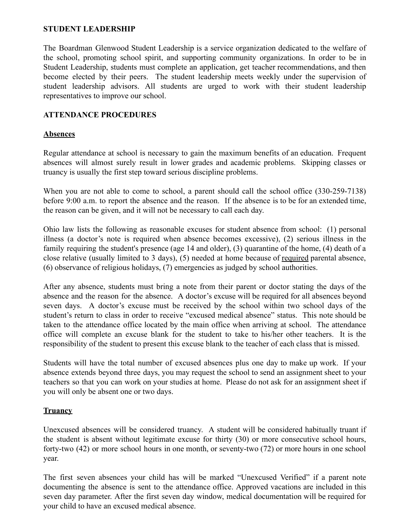### **STUDENT LEADERSHIP**

The Boardman Glenwood Student Leadership is a service organization dedicated to the welfare of the school, promoting school spirit, and supporting community organizations. In order to be in Student Leadership, students must complete an application, get teacher recommendations, and then become elected by their peers. The student leadership meets weekly under the supervision of student leadership advisors. All students are urged to work with their student leadership representatives to improve our school.

### **ATTENDANCE PROCEDURES**

### **Absences**

Regular attendance at school is necessary to gain the maximum benefits of an education. Frequent absences will almost surely result in lower grades and academic problems. Skipping classes or truancy is usually the first step toward serious discipline problems.

When you are not able to come to school, a parent should call the school office (330-259-7138) before 9:00 a.m. to report the absence and the reason. If the absence is to be for an extended time, the reason can be given, and it will not be necessary to call each day.

Ohio law lists the following as reasonable excuses for student absence from school: (1) personal illness (a doctor's note is required when absence becomes excessive), (2) serious illness in the family requiring the student's presence (age 14 and older), (3) quarantine of the home, (4) death of a close relative (usually limited to 3 days), (5) needed at home because of required parental absence, (6) observance of religious holidays, (7) emergencies as judged by school authorities.

After any absence, students must bring a note from their parent or doctor stating the days of the absence and the reason for the absence. A doctor's excuse will be required for all absences beyond seven days. A doctor's excuse must be received by the school within two school days of the student's return to class in order to receive "excused medical absence" status. This note should be taken to the attendance office located by the main office when arriving at school. The attendance office will complete an excuse blank for the student to take to his/her other teachers. It is the responsibility of the student to present this excuse blank to the teacher of each class that is missed.

Students will have the total number of excused absences plus one day to make up work. If your absence extends beyond three days, you may request the school to send an assignment sheet to your teachers so that you can work on your studies at home. Please do not ask for an assignment sheet if you will only be absent one or two days.

### **Truancy**

Unexcused absences will be considered truancy. A student will be considered habitually truant if the student is absent without legitimate excuse for thirty (30) or more consecutive school hours, forty-two (42) or more school hours in one month, or seventy-two (72) or more hours in one school year.

The first seven absences your child has will be marked "Unexcused Verified" if a parent note documenting the absence is sent to the attendance office. Approved vacations are included in this seven day parameter. After the first seven day window, medical documentation will be required for your child to have an excused medical absence.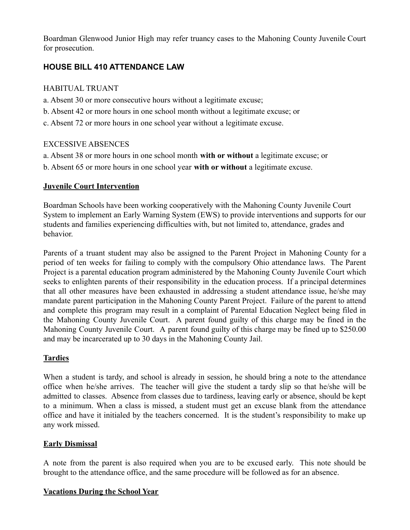Boardman Glenwood Junior High may refer truancy cases to the Mahoning County Juvenile Court for prosecution.

# **HOUSE BILL 410 ATTENDANCE LAW**

### HABITUAL TRUANT

- a. Absent 30 or more consecutive hours without a legitimate excuse;
- b. Absent 42 or more hours in one school month without a legitimate excuse; or
- c. Absent 72 or more hours in one school year without a legitimate excuse.

### EXCESSIVE ABSENCES

- a. Absent 38 or more hours in one school month **with or without** a legitimate excuse; or
- b. Absent 65 or more hours in one school year **with or without** a legitimate excuse.

# **Juvenile Court Intervention**

Boardman Schools have been working cooperatively with the Mahoning County Juvenile Court System to implement an Early Warning System (EWS) to provide interventions and supports for our students and families experiencing difficulties with, but not limited to, attendance, grades and behavior.

Parents of a truant student may also be assigned to the Parent Project in Mahoning County for a period of ten weeks for failing to comply with the compulsory Ohio attendance laws. The Parent Project is a parental education program administered by the Mahoning County Juvenile Court which seeks to enlighten parents of their responsibility in the education process. If a principal determines that all other measures have been exhausted in addressing a student attendance issue, he/she may mandate parent participation in the Mahoning County Parent Project. Failure of the parent to attend and complete this program may result in a complaint of Parental Education Neglect being filed in the Mahoning County Juvenile Court. A parent found guilty of this charge may be fined in the Mahoning County Juvenile Court. A parent found guilty of this charge may be fined up to \$250.00 and may be incarcerated up to 30 days in the Mahoning County Jail.

# **Tardies**

When a student is tardy, and school is already in session, he should bring a note to the attendance office when he/she arrives. The teacher will give the student a tardy slip so that he/she will be admitted to classes. Absence from classes due to tardiness, leaving early or absence, should be kept to a minimum. When a class is missed, a student must get an excuse blank from the attendance office and have it initialed by the teachers concerned. It is the student's responsibility to make up any work missed.

# **Early Dismissal**

A note from the parent is also required when you are to be excused early. This note should be brought to the attendance office, and the same procedure will be followed as for an absence.

### **Vacations During the School Year**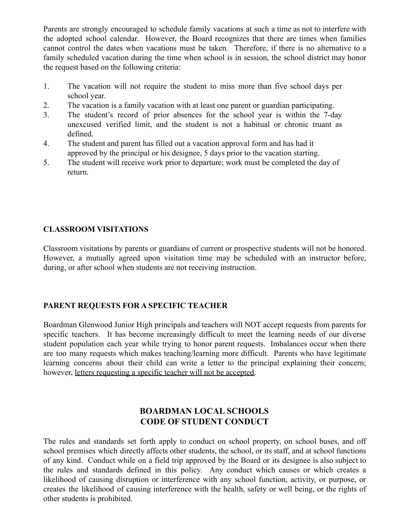Parents are strongly encouraged to schedule family vacations at such a time as not to interfere with the adopted school calendar. However, the Board recognizes that there are times when families cannot control the dates when vacations must be taken. Therefore, if there is no alternative to a family scheduled vacation during the time when school is in session, the school district may honor the request based on the following criteria:

- 1. The vacation will not require the student to miss more than five school days per school year.
- 2. The vacation is a family vacation with at least one parent or guardian participating.
- 3. The student's record of prior absences for the school year is within the 7-day unexcused verified limit, and the student is not a habitual or chronic truant as defined.
- 4. The student and parent has filled out a vacation approval form and has had it approved by the principal or his designee, 5 days prior to the vacation starting.
- 5. The student will receive work prior to departure; work must be completed the day of return.

### **CLASSROOM VISITATIONS**

Classroom visitations by parents or guardians of current or prospective students will not be honored. However, a mutually agreed upon visitation time may be scheduled with an instructor before, during, or after school when students are not receiving instruction.

# **PARENT REQUESTS FOR A SPECIFIC TEACHER**

Boardman Glenwood Junior High principals and teachers will NOT accept requests from parents for specific teachers. It has become increasingly difficult to meet the learning needs of our diverse student population each year while trying to honor parent requests. Imbalances occur when there are too many requests which makes teaching/learning more difficult. Parents who have legitimate learning concerns about their child can write a letter to the principal explaining their concern; however, letters requesting a specific teacher will not be accepted.

# **BOARDMAN LOCAL SCHOOLS CODE OF STUDENT CONDUCT**

The rules and standards set forth apply to conduct on school property, on school buses, and off school premises which directly affects other students, the school, or its staff, and at school functions of any kind. Conduct while on a field trip approved by the Board or its designee is also subject to the rules and standards defined in this policy. Any conduct which causes or which creates a likelihood of causing disruption or interference with any school function, activity, or purpose, or creates the likelihood of causing interference with the health, safety or well being, or the rights of other students is prohibited.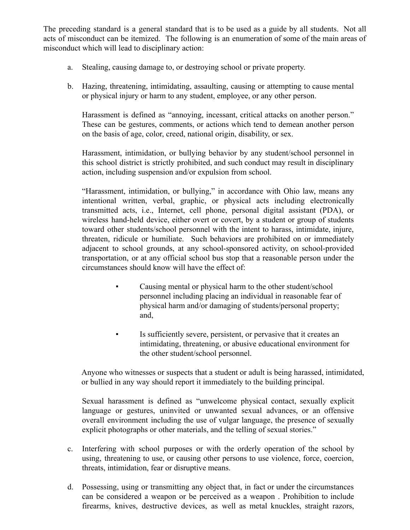The preceding standard is a general standard that is to be used as a guide by all students. Not all acts of misconduct can be itemized. The following is an enumeration of some of the main areas of misconduct which will lead to disciplinary action:

- a. Stealing, causing damage to, or destroying school or private property.
- b. Hazing, threatening, intimidating, assaulting, causing or attempting to cause mental or physical injury or harm to any student, employee, or any other person.

Harassment is defined as "annoying, incessant, critical attacks on another person." These can be gestures, comments, or actions which tend to demean another person on the basis of age, color, creed, national origin, disability, or sex.

Harassment, intimidation, or bullying behavior by any student/school personnel in this school district is strictly prohibited, and such conduct may result in disciplinary action, including suspension and/or expulsion from school.

"Harassment, intimidation, or bullying," in accordance with Ohio law, means any intentional written, verbal, graphic, or physical acts including electronically transmitted acts, i.e., Internet, cell phone, personal digital assistant (PDA), or wireless hand-held device, either overt or covert, by a student or group of students toward other students/school personnel with the intent to harass, intimidate, injure, threaten, ridicule or humiliate. Such behaviors are prohibited on or immediately adjacent to school grounds, at any school-sponsored activity, on school-provided transportation, or at any official school bus stop that a reasonable person under the circumstances should know will have the effect of:

- Causing mental or physical harm to the other student/school personnel including placing an individual in reasonable fear of physical harm and/or damaging of students/personal property; and,
- Is sufficiently severe, persistent, or pervasive that it creates an intimidating, threatening, or abusive educational environment for the other student/school personnel.

Anyone who witnesses or suspects that a student or adult is being harassed, intimidated, or bullied in any way should report it immediately to the building principal.

Sexual harassment is defined as "unwelcome physical contact, sexually explicit language or gestures, uninvited or unwanted sexual advances, or an offensive overall environment including the use of vulgar language, the presence of sexually explicit photographs or other materials, and the telling of sexual stories."

- c. Interfering with school purposes or with the orderly operation of the school by using, threatening to use, or causing other persons to use violence, force, coercion, threats, intimidation, fear or disruptive means.
- d. Possessing, using or transmitting any object that, in fact or under the circumstances can be considered a weapon or be perceived as a weapon . Prohibition to include firearms, knives, destructive devices, as well as metal knuckles, straight razors,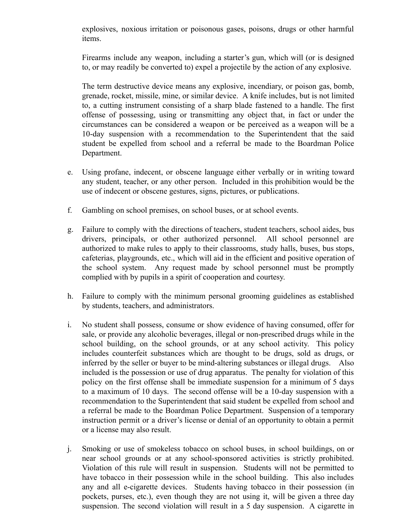explosives, noxious irritation or poisonous gases, poisons, drugs or other harmful items.

Firearms include any weapon, including a starter's gun, which will (or is designed to, or may readily be converted to) expel a projectile by the action of any explosive.

The term destructive device means any explosive, incendiary, or poison gas, bomb, grenade, rocket, missile, mine, or similar device. A knife includes, but is not limited to, a cutting instrument consisting of a sharp blade fastened to a handle. The first offense of possessing, using or transmitting any object that, in fact or under the circumstances can be considered a weapon or be perceived as a weapon will be a 10-day suspension with a recommendation to the Superintendent that the said student be expelled from school and a referral be made to the Boardman Police Department.

- e. Using profane, indecent, or obscene language either verbally or in writing toward any student, teacher, or any other person. Included in this prohibition would be the use of indecent or obscene gestures, signs, pictures, or publications.
- f. Gambling on school premises, on school buses, or at school events.
- g. Failure to comply with the directions of teachers, student teachers, school aides, bus drivers, principals, or other authorized personnel. All school personnel are authorized to make rules to apply to their classrooms, study halls, buses, bus stops, cafeterias, playgrounds, etc., which will aid in the efficient and positive operation of the school system. Any request made by school personnel must be promptly complied with by pupils in a spirit of cooperation and courtesy.
- h. Failure to comply with the minimum personal grooming guidelines as established by students, teachers, and administrators.
- i. No student shall possess, consume or show evidence of having consumed, offer for sale, or provide any alcoholic beverages, illegal or non-prescribed drugs while in the school building, on the school grounds, or at any school activity. This policy includes counterfeit substances which are thought to be drugs, sold as drugs, or inferred by the seller or buyer to be mind-altering substances or illegal drugs. Also included is the possession or use of drug apparatus. The penalty for violation of this policy on the first offense shall be immediate suspension for a minimum of 5 days to a maximum of 10 days. The second offense will be a 10-day suspension with a recommendation to the Superintendent that said student be expelled from school and a referral be made to the Boardman Police Department. Suspension of a temporary instruction permit or a driver's license or denial of an opportunity to obtain a permit or a license may also result.
- j. Smoking or use of smokeless tobacco on school buses, in school buildings, on or near school grounds or at any school-sponsored activities is strictly prohibited. Violation of this rule will result in suspension. Students will not be permitted to have tobacco in their possession while in the school building. This also includes any and all e-cigarette devices. Students having tobacco in their possession (in pockets, purses, etc.), even though they are not using it, will be given a three day suspension. The second violation will result in a 5 day suspension. A cigarette in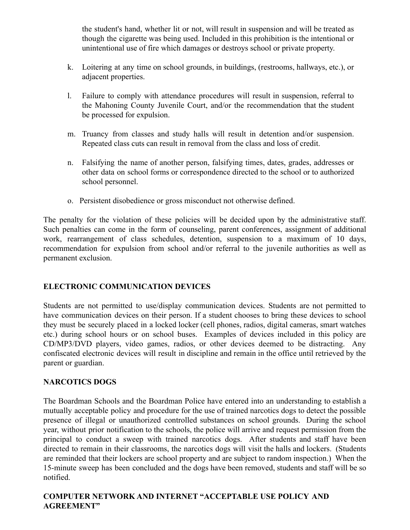the student's hand, whether lit or not, will result in suspension and will be treated as though the cigarette was being used. Included in this prohibition is the intentional or unintentional use of fire which damages or destroys school or private property.

- k. Loitering at any time on school grounds, in buildings, (restrooms, hallways, etc.), or adjacent properties.
- l. Failure to comply with attendance procedures will result in suspension, referral to the Mahoning County Juvenile Court, and/or the recommendation that the student be processed for expulsion.
- m. Truancy from classes and study halls will result in detention and/or suspension. Repeated class cuts can result in removal from the class and loss of credit.
- n. Falsifying the name of another person, falsifying times, dates, grades, addresses or other data on school forms or correspondence directed to the school or to authorized school personnel.
- o. Persistent disobedience or gross misconduct not otherwise defined.

The penalty for the violation of these policies will be decided upon by the administrative staff. Such penalties can come in the form of counseling, parent conferences, assignment of additional work, rearrangement of class schedules, detention, suspension to a maximum of 10 days, recommendation for expulsion from school and/or referral to the juvenile authorities as well as permanent exclusion.

# **ELECTRONIC COMMUNICATION DEVICES**

Students are not permitted to use/display communication devices. Students are not permitted to have communication devices on their person. If a student chooses to bring these devices to school they must be securely placed in a locked locker (cell phones, radios, digital cameras, smart watches etc.) during school hours or on school buses. Examples of devices included in this policy are CD/MP3/DVD players, video games, radios, or other devices deemed to be distracting. Any confiscated electronic devices will result in discipline and remain in the office until retrieved by the parent or guardian.

### **NARCOTICS DOGS**

The Boardman Schools and the Boardman Police have entered into an understanding to establish a mutually acceptable policy and procedure for the use of trained narcotics dogs to detect the possible presence of illegal or unauthorized controlled substances on school grounds. During the school year, without prior notification to the schools, the police will arrive and request permission from the principal to conduct a sweep with trained narcotics dogs. After students and staff have been directed to remain in their classrooms, the narcotics dogs will visit the halls and lockers. (Students are reminded that their lockers are school property and are subject to random inspection.) When the 15-minute sweep has been concluded and the dogs have been removed, students and staff will be so notified.

### **COMPUTER NETWORK AND INTERNET "ACCEPTABLE USE POLICY AND AGREEMENT"**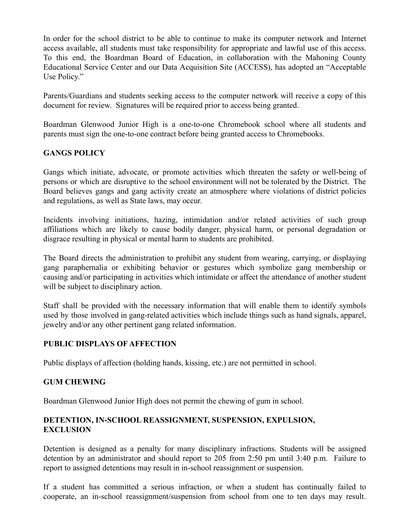In order for the school district to be able to continue to make its computer network and Internet access available, all students must take responsibility for appropriate and lawful use of this access. To this end, the Boardman Board of Education, in collaboration with the Mahoning County Educational Service Center and our Data Acquisition Site (ACCESS), has adopted an "Acceptable Use Policy."

Parents/Guardians and students seeking access to the computer network will receive a copy of this document for review. Signatures will be required prior to access being granted.

Boardman Glenwood Junior High is a one-to-one Chromebook school where all students and parents must sign the one-to-one contract before being granted access to Chromebooks.

# **GANGS POLICY**

Gangs which initiate, advocate, or promote activities which threaten the safety or well-being of persons or which are disruptive to the school environment will not be tolerated by the District. The Board believes gangs and gang activity create an atmosphere where violations of district policies and regulations, as well as State laws, may occur.

Incidents involving initiations, hazing, intimidation and/or related activities of such group affiliations which are likely to cause bodily danger, physical harm, or personal degradation or disgrace resulting in physical or mental harm to students are prohibited.

The Board directs the administration to prohibit any student from wearing, carrying, or displaying gang paraphernalia or exhibiting behavior or gestures which symbolize gang membership or causing and/or participating in activities which intimidate or affect the attendance of another student will be subject to disciplinary action.

Staff shall be provided with the necessary information that will enable them to identify symbols used by those involved in gang-related activities which include things such as hand signals, apparel, jewelry and/or any other pertinent gang related information.

# **PUBLIC DISPLAYS OF AFFECTION**

Public displays of affection (holding hands, kissing, etc.) are not permitted in school.

### **GUM CHEWING**

Boardman Glenwood Junior High does not permit the chewing of gum in school.

### **DETENTION, IN-SCHOOL REASSIGNMENT, SUSPENSION, EXPULSION, EXCLUSION**

Detention is designed as a penalty for many disciplinary infractions. Students will be assigned detention by an administrator and should report to 205 from 2:50 pm until 3:40 p.m. Failure to report to assigned detentions may result in in-school reassignment or suspension.

If a student has committed a serious infraction, or when a student has continually failed to cooperate, an in-school reassignment/suspension from school from one to ten days may result.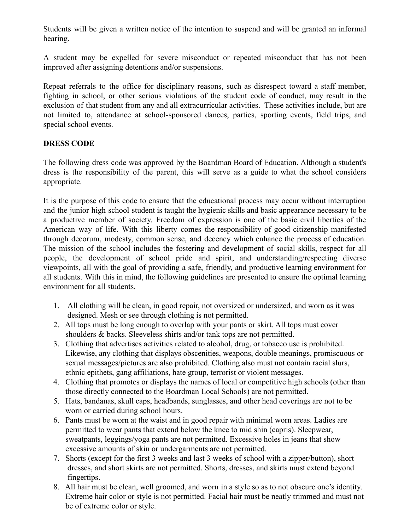Students will be given a written notice of the intention to suspend and will be granted an informal hearing.

A student may be expelled for severe misconduct or repeated misconduct that has not been improved after assigning detentions and/or suspensions.

Repeat referrals to the office for disciplinary reasons, such as disrespect toward a staff member, fighting in school, or other serious violations of the student code of conduct, may result in the exclusion of that student from any and all extracurricular activities. These activities include, but are not limited to, attendance at school-sponsored dances, parties, sporting events, field trips, and special school events.

### **DRESS CODE**

The following dress code was approved by the Boardman Board of Education. Although a student's dress is the responsibility of the parent, this will serve as a guide to what the school considers appropriate.

It is the purpose of this code to ensure that the educational process may occur without interruption and the junior high school student is taught the hygienic skills and basic appearance necessary to be a productive member of society. Freedom of expression is one of the basic civil liberties of the American way of life. With this liberty comes the responsibility of good citizenship manifested through decorum, modesty, common sense, and decency which enhance the process of education. The mission of the school includes the fostering and development of social skills, respect for all people, the development of school pride and spirit, and understanding/respecting diverse viewpoints, all with the goal of providing a safe, friendly, and productive learning environment for all students. With this in mind, the following guidelines are presented to ensure the optimal learning environment for all students.

- 1. All clothing will be clean, in good repair, not oversized or undersized, and worn as it was designed. Mesh or see through clothing is not permitted.
- 2. All tops must be long enough to overlap with your pants or skirt. All tops must cover shoulders & backs. Sleeveless shirts and/or tank tops are not permitted.
- 3. Clothing that advertises activities related to alcohol, drug, or tobacco use is prohibited. Likewise, any clothing that displays obscenities, weapons, double meanings, promiscuous or sexual messages/pictures are also prohibited. Clothing also must not contain racial slurs, ethnic epithets, gang affiliations, hate group, terrorist or violent messages.
- 4. Clothing that promotes or displays the names of local or competitive high schools (other than those directly connected to the Boardman Local Schools) are not permitted.
- 5. Hats, bandanas, skull caps, headbands, sunglasses, and other head coverings are not to be worn or carried during school hours.
- 6. Pants must be worn at the waist and in good repair with minimal worn areas. Ladies are permitted to wear pants that extend below the knee to mid shin (capris). Sleepwear, sweatpants, leggings/yoga pants are not permitted. Excessive holes in jeans that show excessive amounts of skin or undergarments are not permitted.
- 7. Shorts (except for the first 3 weeks and last 3 weeks of school with a zipper/button), short dresses, and short skirts are not permitted. Shorts, dresses, and skirts must extend beyond fingertips.
- 8. All hair must be clean, well groomed, and worn in a style so as to not obscure one's identity. Extreme hair color or style is not permitted. Facial hair must be neatly trimmed and must not be of extreme color or style.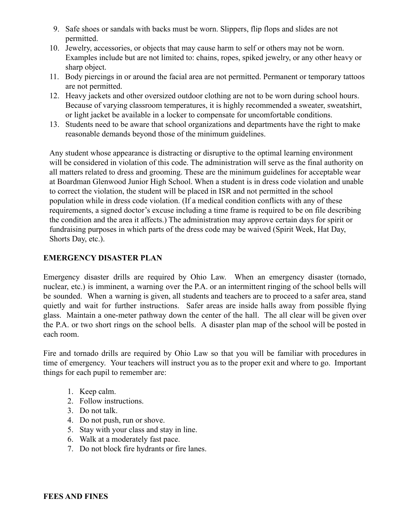- 9. Safe shoes or sandals with backs must be worn. Slippers, flip flops and slides are not permitted.
- 10. Jewelry, accessories, or objects that may cause harm to self or others may not be worn. Examples include but are not limited to: chains, ropes, spiked jewelry, or any other heavy or sharp object.
- 11. Body piercings in or around the facial area are not permitted. Permanent or temporary tattoos are not permitted.
- 12. Heavy jackets and other oversized outdoor clothing are not to be worn during school hours. Because of varying classroom temperatures, it is highly recommended a sweater, sweatshirt, or light jacket be available in a locker to compensate for uncomfortable conditions.
- 13. Students need to be aware that school organizations and departments have the right to make reasonable demands beyond those of the minimum guidelines.

Any student whose appearance is distracting or disruptive to the optimal learning environment will be considered in violation of this code. The administration will serve as the final authority on all matters related to dress and grooming. These are the minimum guidelines for acceptable wear at Boardman Glenwood Junior High School. When a student is in dress code violation and unable to correct the violation, the student will be placed in ISR and not permitted in the school population while in dress code violation. (If a medical condition conflicts with any of these requirements, a signed doctor's excuse including a time frame is required to be on file describing the condition and the area it affects.) The administration may approve certain days for spirit or fundraising purposes in which parts of the dress code may be waived (Spirit Week, Hat Day, Shorts Day, etc.).

### **EMERGENCY DISASTER PLAN**

Emergency disaster drills are required by Ohio Law. When an emergency disaster (tornado, nuclear, etc.) is imminent, a warning over the P.A. or an intermittent ringing of the school bells will be sounded. When a warning is given, all students and teachers are to proceed to a safer area, stand quietly and wait for further instructions. Safer areas are inside halls away from possible flying glass. Maintain a one-meter pathway down the center of the hall. The all clear will be given over the P.A. or two short rings on the school bells. A disaster plan map of the school will be posted in each room.

Fire and tornado drills are required by Ohio Law so that you will be familiar with procedures in time of emergency. Your teachers will instruct you as to the proper exit and where to go. Important things for each pupil to remember are:

- 1. Keep calm.
- 2. Follow instructions.
- 3. Do not talk.
- 4. Do not push, run or shove.
- 5. Stay with your class and stay in line.
- 6. Walk at a moderately fast pace.
- 7. Do not block fire hydrants or fire lanes.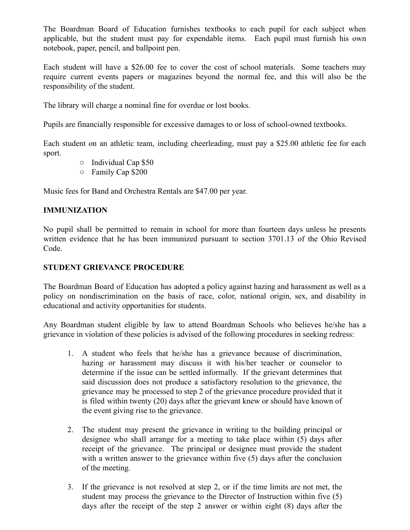The Boardman Board of Education furnishes textbooks to each pupil for each subject when applicable, but the student must pay for expendable items. Each pupil must furnish his own notebook, paper, pencil, and ballpoint pen.

Each student will have a \$26.00 fee to cover the cost of school materials. Some teachers may require current events papers or magazines beyond the normal fee, and this will also be the responsibility of the student.

The library will charge a nominal fine for overdue or lost books.

Pupils are financially responsible for excessive damages to or loss of school-owned textbooks.

Each student on an athletic team, including cheerleading, must pay a \$25.00 athletic fee for each sport.

- Individual Cap \$50
- Family Cap \$200

Music fees for Band and Orchestra Rentals are \$47.00 per year.

# **IMMUNIZATION**

No pupil shall be permitted to remain in school for more than fourteen days unless he presents written evidence that he has been immunized pursuant to section 3701.13 of the Ohio Revised Code.

### **STUDENT GRIEVANCE PROCEDURE**

The Boardman Board of Education has adopted a policy against hazing and harassment as well as a policy on nondiscrimination on the basis of race, color, national origin, sex, and disability in educational and activity opportunities for students.

Any Boardman student eligible by law to attend Boardman Schools who believes he/she has a grievance in violation of these policies is advised of the following procedures in seeking redress:

- 1. A student who feels that he/she has a grievance because of discrimination, hazing or harassment may discuss it with his/her teacher or counselor to determine if the issue can be settled informally. If the grievant determines that said discussion does not produce a satisfactory resolution to the grievance, the grievance may be processed to step 2 of the grievance procedure provided that it is filed within twenty (20) days after the grievant knew or should have known of the event giving rise to the grievance.
- 2. The student may present the grievance in writing to the building principal or designee who shall arrange for a meeting to take place within (5) days after receipt of the grievance. The principal or designee must provide the student with a written answer to the grievance within five (5) days after the conclusion of the meeting.
- 3. If the grievance is not resolved at step 2, or if the time limits are not met, the student may process the grievance to the Director of Instruction within five (5) days after the receipt of the step 2 answer or within eight (8) days after the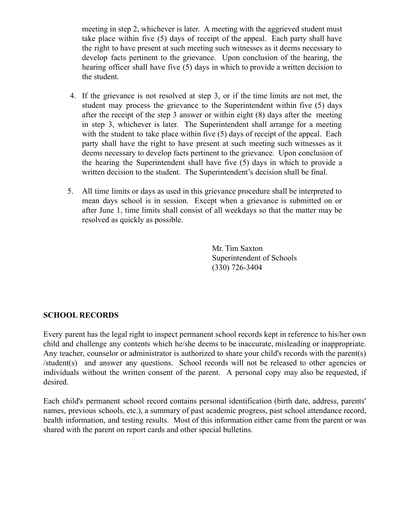meeting in step 2, whichever is later. A meeting with the aggrieved student must take place within five (5) days of receipt of the appeal. Each party shall have the right to have present at such meeting such witnesses as it deems necessary to develop facts pertinent to the grievance. Upon conclusion of the hearing, the hearing officer shall have five (5) days in which to provide a written decision to the student.

- 4. If the grievance is not resolved at step 3, or if the time limits are not met, the student may process the grievance to the Superintendent within five (5) days after the receipt of the step 3 answer or within eight (8) days after the meeting in step 3, whichever is later. The Superintendent shall arrange for a meeting with the student to take place within five (5) days of receipt of the appeal. Each party shall have the right to have present at such meeting such witnesses as it deems necessary to develop facts pertinent to the grievance. Upon conclusion of the hearing the Superintendent shall have five (5) days in which to provide a written decision to the student. The Superintendent's decision shall be final.
- 5. All time limits or days as used in this grievance procedure shall be interpreted to mean days school is in session. Except when a grievance is submitted on or after June 1, time limits shall consist of all weekdays so that the matter may be resolved as quickly as possible.

Mr. Tim Saxton Superintendent of Schools (330) 726-3404

### **SCHOOL RECORDS**

Every parent has the legal right to inspect permanent school records kept in reference to his/her own child and challenge any contents which he/she deems to be inaccurate, misleading or inappropriate. Any teacher, counselor or administrator is authorized to share your child's records with the parent(s) /student(s) and answer any questions. School records will not be released to other agencies or individuals without the written consent of the parent. A personal copy may also be requested, if desired.

Each child's permanent school record contains personal identification (birth date, address, parents' names, previous schools, etc.), a summary of past academic progress, past school attendance record, health information, and testing results. Most of this information either came from the parent or was shared with the parent on report cards and other special bulletins.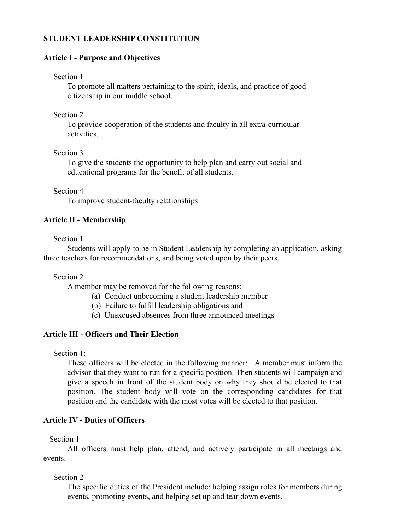### **STUDENT LEADERSHIP CONSTITUTION**

### **Article I - Purpose and Objectives**

### Section 1

To promote all matters pertaining to the spirit, ideals, and practice of good citizenship in our middle school.

### Section 2

To provide cooperation of the students and faculty in all extra-curricular activities.

### Section 3

To give the students the opportunity to help plan and carry out social and educational programs for the benefit of all students.

### Section 4

To improve student-faculty relationships

### **Article II - Membership**

### Section 1

Students will apply to be in Student Leadership by completing an application, asking three teachers for recommendations, and being voted upon by their peers.

Section 2

A member may be removed for the following reasons:

- (a) Conduct unbecoming a student leadership member
- (b) Failure to fulfill leadership obligations and
- (c) Unexcused absences from three announced meetings

### **Article III - Officers and Their Election**

Section 1:

These officers will be elected in the following manner: A member must inform the advisor that they want to run for a specific position. Then students will campaign and give a speech in front of the student body on why they should be elected to that position. The student body will vote on the corresponding candidates for that position and the candidate with the most votes will be elected to that position.

### **Article IV - Duties of Officers**

Section 1

All officers must help plan, attend, and actively participate in all meetings and events.

Section 2

The specific duties of the President include: helping assign roles for members during events, promoting events, and helping set up and tear down events.